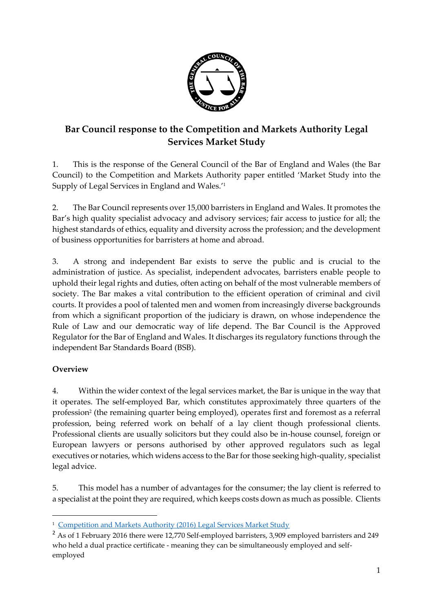

# **Bar Council response to the Competition and Markets Authority Legal Services Market Study**

1. This is the response of the General Council of the Bar of England and Wales (the Bar Council) to the Competition and Markets Authority paper entitled 'Market Study into the Supply of Legal Services in England and Wales.' 1

2. The Bar Council represents over 15,000 barristers in England and Wales. It promotes the Bar's high quality specialist advocacy and advisory services; fair access to justice for all; the highest standards of ethics, equality and diversity across the profession; and the development of business opportunities for barristers at home and abroad.

3. A strong and independent Bar exists to serve the public and is crucial to the administration of justice. As specialist, independent advocates, barristers enable people to uphold their legal rights and duties, often acting on behalf of the most vulnerable members of society. The Bar makes a vital contribution to the efficient operation of criminal and civil courts. It provides a pool of talented men and women from increasingly diverse backgrounds from which a significant proportion of the judiciary is drawn, on whose independence the Rule of Law and our democratic way of life depend. The Bar Council is the Approved Regulator for the Bar of England and Wales. It discharges its regulatory functions through the independent Bar Standards Board (BSB).

# **Overview**

-

4. Within the wider context of the legal services market, the Bar is unique in the way that it operates. The self-employed Bar, which constitutes approximately three quarters of the profession<sup>2</sup> (the remaining quarter being employed), operates first and foremost as a referral profession, being referred work on behalf of a lay client though professional clients. Professional clients are usually solicitors but they could also be in-house counsel, foreign or European lawyers or persons authorised by other approved regulators such as legal executives or notaries, which widens access to the Bar for those seeking high-quality, specialist legal advice.

5. This model has a number of advantages for the consumer; the lay client is referred to a specialist at the point they are required, which keeps costs down as much as possible. Clients

<sup>&</sup>lt;sup>1</sup> [Competition and Markets Authority \(2016\) Legal Services Market Study](https://www.gov.uk/cma-cases/legal-services-market-study)

<sup>&</sup>lt;sup>2</sup> As of 1 February 2016 there were 12,770 Self-employed barristers, 3,909 employed barristers and 249 who held a dual practice certificate - meaning they can be simultaneously employed and selfemployed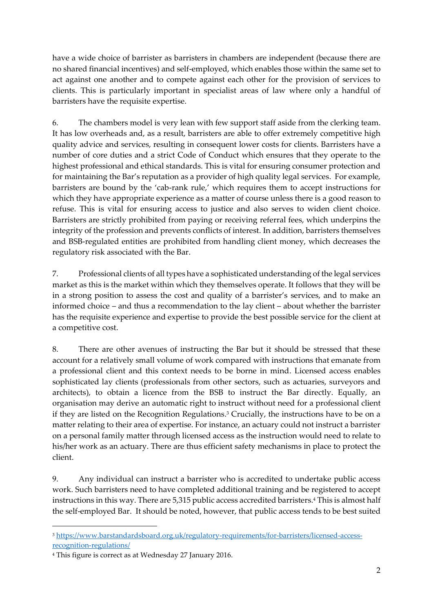have a wide choice of barrister as barristers in chambers are independent (because there are no shared financial incentives) and self-employed, which enables those within the same set to act against one another and to compete against each other for the provision of services to clients. This is particularly important in specialist areas of law where only a handful of barristers have the requisite expertise.

6. The chambers model is very lean with few support staff aside from the clerking team. It has low overheads and, as a result, barristers are able to offer extremely competitive high quality advice and services, resulting in consequent lower costs for clients. Barristers have a number of core duties and a strict Code of Conduct which ensures that they operate to the highest professional and ethical standards. This is vital for ensuring consumer protection and for maintaining the Bar's reputation as a provider of high quality legal services. For example, barristers are bound by the 'cab-rank rule,' which requires them to accept instructions for which they have appropriate experience as a matter of course unless there is a good reason to refuse. This is vital for ensuring access to justice and also serves to widen client choice. Barristers are strictly prohibited from paying or receiving referral fees, which underpins the integrity of the profession and prevents conflicts of interest. In addition, barristers themselves and BSB-regulated entities are prohibited from handling client money, which decreases the regulatory risk associated with the Bar.

7. Professional clients of all types have a sophisticated understanding of the legal services market as this is the market within which they themselves operate. It follows that they will be in a strong position to assess the cost and quality of a barrister's services, and to make an informed choice – and thus a recommendation to the lay client – about whether the barrister has the requisite experience and expertise to provide the best possible service for the client at a competitive cost.

8. There are other avenues of instructing the Bar but it should be stressed that these account for a relatively small volume of work compared with instructions that emanate from a professional client and this context needs to be borne in mind. Licensed access enables sophisticated lay clients (professionals from other sectors, such as actuaries, surveyors and architects), to obtain a licence from the BSB to instruct the Bar directly. Equally, an organisation may derive an automatic right to instruct without need for a professional client if they are listed on the Recognition Regulations. <sup>3</sup> Crucially, the instructions have to be on a matter relating to their area of expertise. For instance, an actuary could not instruct a barrister on a personal family matter through licensed access as the instruction would need to relate to his/her work as an actuary. There are thus efficient safety mechanisms in place to protect the client.

9. Any individual can instruct a barrister who is accredited to undertake public access work. Such barristers need to have completed additional training and be registered to accept instructions in this way. There are 5,315 public access accredited barristers. <sup>4</sup> This is almost half the self-employed Bar. It should be noted, however, that public access tends to be best suited

<sup>-</sup><sup>3</sup> [https://www.barstandardsboard.org.uk/regulatory-requirements/for-barristers/licensed-access](https://www.barstandardsboard.org.uk/regulatory-requirements/for-barristers/licensed-access-recognition-regulations/)[recognition-regulations/](https://www.barstandardsboard.org.uk/regulatory-requirements/for-barristers/licensed-access-recognition-regulations/)

<sup>4</sup> This figure is correct as at Wednesday 27 January 2016.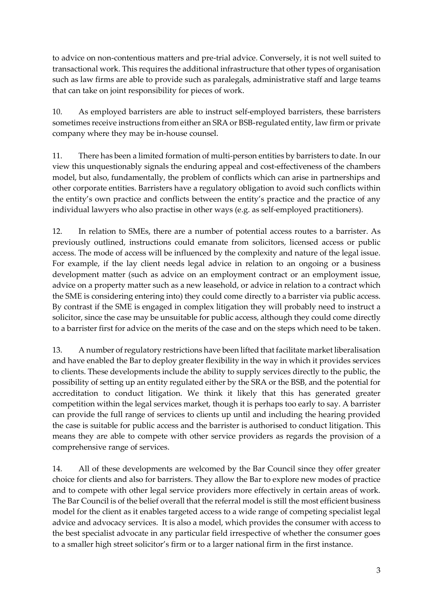to advice on non-contentious matters and pre-trial advice. Conversely, it is not well suited to transactional work. This requires the additional infrastructure that other types of organisation such as law firms are able to provide such as paralegals, administrative staff and large teams that can take on joint responsibility for pieces of work.

10. As employed barristers are able to instruct self-employed barristers, these barristers sometimes receive instructions from either an SRA or BSB-regulated entity, law firm or private company where they may be in-house counsel.

11. There has been a limited formation of multi-person entities by barristers to date. In our view this unquestionably signals the enduring appeal and cost-effectiveness of the chambers model, but also, fundamentally, the problem of conflicts which can arise in partnerships and other corporate entities. Barristers have a regulatory obligation to avoid such conflicts within the entity's own practice and conflicts between the entity's practice and the practice of any individual lawyers who also practise in other ways (e.g. as self-employed practitioners).

12. In relation to SMEs, there are a number of potential access routes to a barrister. As previously outlined, instructions could emanate from solicitors, licensed access or public access. The mode of access will be influenced by the complexity and nature of the legal issue. For example, if the lay client needs legal advice in relation to an ongoing or a business development matter (such as advice on an employment contract or an employment issue, advice on a property matter such as a new leasehold, or advice in relation to a contract which the SME is considering entering into) they could come directly to a barrister via public access. By contrast if the SME is engaged in complex litigation they will probably need to instruct a solicitor, since the case may be unsuitable for public access, although they could come directly to a barrister first for advice on the merits of the case and on the steps which need to be taken.

13. A number of regulatory restrictions have been lifted that facilitate market liberalisation and have enabled the Bar to deploy greater flexibility in the way in which it provides services to clients. These developments include the ability to supply services directly to the public, the possibility of setting up an entity regulated either by the SRA or the BSB, and the potential for accreditation to conduct litigation. We think it likely that this has generated greater competition within the legal services market, though it is perhaps too early to say. A barrister can provide the full range of services to clients up until and including the hearing provided the case is suitable for public access and the barrister is authorised to conduct litigation. This means they are able to compete with other service providers as regards the provision of a comprehensive range of services.

14. All of these developments are welcomed by the Bar Council since they offer greater choice for clients and also for barristers. They allow the Bar to explore new modes of practice and to compete with other legal service providers more effectively in certain areas of work. The Bar Council is of the belief overall that the referral model is still the most efficient business model for the client as it enables targeted access to a wide range of competing specialist legal advice and advocacy services. It is also a model, which provides the consumer with access to the best specialist advocate in any particular field irrespective of whether the consumer goes to a smaller high street solicitor's firm or to a larger national firm in the first instance.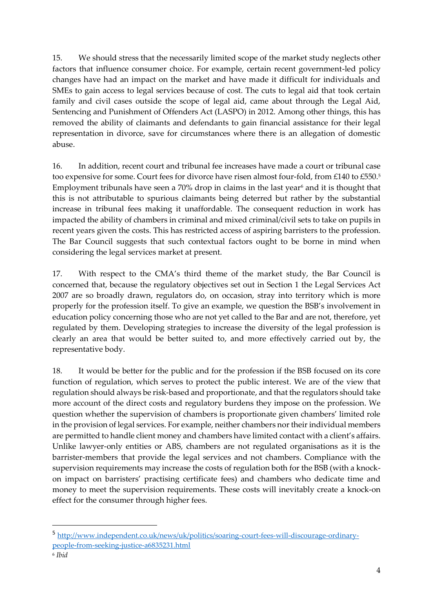15. We should stress that the necessarily limited scope of the market study neglects other factors that influence consumer choice. For example, certain recent government-led policy changes have had an impact on the market and have made it difficult for individuals and SMEs to gain access to legal services because of cost. The cuts to legal aid that took certain family and civil cases outside the scope of legal aid, came about through the Legal Aid, Sentencing and Punishment of Offenders Act (LASPO) in 2012. Among other things, this has removed the ability of claimants and defendants to gain financial assistance for their legal representation in divorce, save for circumstances where there is an allegation of domestic abuse.

16. In addition, recent court and tribunal fee increases have made a court or tribunal case too expensive for some. Court fees for divorce have risen almost four-fold, from £140 to £550. 5 Employment tribunals have seen a  $70\%$  drop in claims in the last year $6$  and it is thought that this is not attributable to spurious claimants being deterred but rather by the substantial increase in tribunal fees making it unaffordable. The consequent reduction in work has impacted the ability of chambers in criminal and mixed criminal/civil sets to take on pupils in recent years given the costs. This has restricted access of aspiring barristers to the profession. The Bar Council suggests that such contextual factors ought to be borne in mind when considering the legal services market at present.

17. With respect to the CMA's third theme of the market study, the Bar Council is concerned that, because the regulatory objectives set out in Section 1 the Legal Services Act 2007 are so broadly drawn, regulators do, on occasion, stray into territory which is more properly for the profession itself. To give an example, we question the BSB's involvement in education policy concerning those who are not yet called to the Bar and are not, therefore, yet regulated by them. Developing strategies to increase the diversity of the legal profession is clearly an area that would be better suited to, and more effectively carried out by, the representative body.

18. It would be better for the public and for the profession if the BSB focused on its core function of regulation, which serves to protect the public interest. We are of the view that regulation should always be risk-based and proportionate, and that the regulators should take more account of the direct costs and regulatory burdens they impose on the profession. We question whether the supervision of chambers is proportionate given chambers' limited role in the provision of legal services. For example, neither chambers nor their individual members are permitted to handle client money and chambers have limited contact with a client's affairs. Unlike lawyer-only entities or ABS, chambers are not regulated organisations as it is the barrister-members that provide the legal services and not chambers. Compliance with the supervision requirements may increase the costs of regulation both for the BSB (with a knockon impact on barristers' practising certificate fees) and chambers who dedicate time and money to meet the supervision requirements. These costs will inevitably create a knock-on effect for the consumer through higher fees.

1

<sup>5</sup> [http://www.independent.co.uk/news/uk/politics/soaring-court-fees-will-discourage-ordinary](http://www.independent.co.uk/news/uk/politics/soaring-court-fees-will-discourage-ordinary-people-from-seeking-justice-a6835231.html)[people-from-seeking-justice-a6835231.html](http://www.independent.co.uk/news/uk/politics/soaring-court-fees-will-discourage-ordinary-people-from-seeking-justice-a6835231.html)

<sup>6</sup> *Ibid*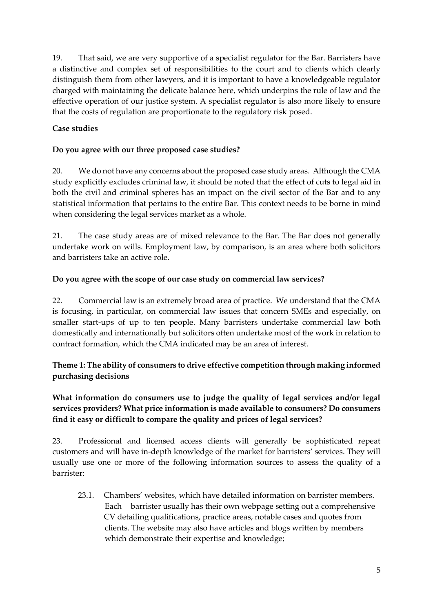19. That said, we are very supportive of a specialist regulator for the Bar. Barristers have a distinctive and complex set of responsibilities to the court and to clients which clearly distinguish them from other lawyers, and it is important to have a knowledgeable regulator charged with maintaining the delicate balance here, which underpins the rule of law and the effective operation of our justice system. A specialist regulator is also more likely to ensure that the costs of regulation are proportionate to the regulatory risk posed.

### **Case studies**

#### **Do you agree with our three proposed case studies?**

20. We do not have any concerns about the proposed case study areas. Although the CMA study explicitly excludes criminal law, it should be noted that the effect of cuts to legal aid in both the civil and criminal spheres has an impact on the civil sector of the Bar and to any statistical information that pertains to the entire Bar. This context needs to be borne in mind when considering the legal services market as a whole.

21. The case study areas are of mixed relevance to the Bar. The Bar does not generally undertake work on wills. Employment law, by comparison, is an area where both solicitors and barristers take an active role.

#### **Do you agree with the scope of our case study on commercial law services?**

22. Commercial law is an extremely broad area of practice. We understand that the CMA is focusing, in particular, on commercial law issues that concern SMEs and especially, on smaller start-ups of up to ten people. Many barristers undertake commercial law both domestically and internationally but solicitors often undertake most of the work in relation to contract formation, which the CMA indicated may be an area of interest.

### **Theme 1: The ability of consumers to drive effective competition through making informed purchasing decisions**

## **What information do consumers use to judge the quality of legal services and/or legal services providers? What price information is made available to consumers? Do consumers find it easy or difficult to compare the quality and prices of legal services?**

23. Professional and licensed access clients will generally be sophisticated repeat customers and will have in-depth knowledge of the market for barristers' services. They will usually use one or more of the following information sources to assess the quality of a barrister:

23.1. Chambers' websites, which have detailed information on barrister members. Each barrister usually has their own webpage setting out a comprehensive CV detailing qualifications, practice areas, notable cases and quotes from clients. The website may also have articles and blogs written by members which demonstrate their expertise and knowledge;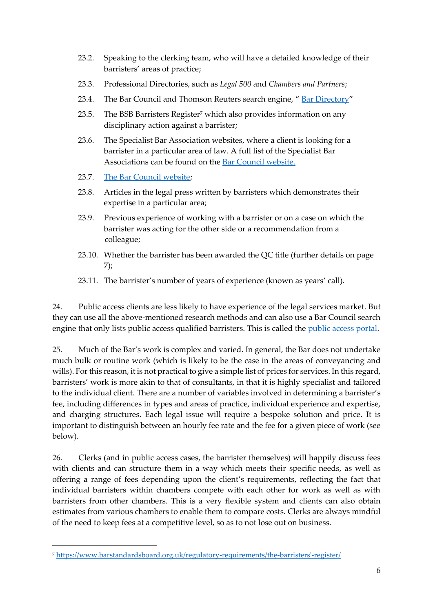- 23.2. Speaking to the clerking team, who will have a detailed knowledge of their barristers' areas of practice;
- 23.3. Professional Directories, such as *Legal 500* and *Chambers and Partners*;
- 23.4. The Bar Council and Thomson Reuters search engine, "[Bar Directory](http://www.legalhub.co.uk/legalhub/app/init/signon?redirect=%252Flegalhub%252Fapp%252Fmain%253Frs%253DBOL1.0%2526vr%253D1.0%2526ndd%253D2%2526bctocguid%253DIde6206400caa11d9b720e55d2b60bfda%2526ststate%253DS%2526ao%253Do.Id6e745f002c711db85b9d734e660a063&vr=1.0&wluk-usertype=&wluk-usertype=&rs=BOL1.0)"
- 23.5. The BSB Barristers Register<sup>7</sup> which also provides information on any disciplinary action against a barrister;
- 23.6. The Specialist Bar Association websites, where a client is looking for a barrister in a particular area of law. A full list of the Specialist Bar Associations can be found on the **Bar Council website.**
- 23.7. [The Bar Council website;](http://www.barcouncil.org.uk/using-a-barrister/)
- 23.8. Articles in the legal press written by barristers which demonstrates their expertise in a particular area;
- 23.9. Previous experience of working with a barrister or on a case on which the barrister was acting for the other side or a recommendation from a colleague;
- 23.10. Whether the barrister has been awarded the QC title (further details on page 7);
- 23.11. The barrister's number of years of experience (known as years' call).

24. Public access clients are less likely to have experience of the legal services market. But they can use all the above-mentioned research methods and can also use a Bar Council search engine that only lists public access qualified barristers. This is called the *public access portal*.

25. Much of the Bar's work is complex and varied. In general, the Bar does not undertake much bulk or routine work (which is likely to be the case in the areas of conveyancing and wills). For this reason, it is not practical to give a simple list of prices for services. In this regard, barristers' work is more akin to that of consultants, in that it is highly specialist and tailored to the individual client. There are a number of variables involved in determining a barrister's fee, including differences in types and areas of practice, individual experience and expertise, and charging structures. Each legal issue will require a bespoke solution and price. It is important to distinguish between an hourly fee rate and the fee for a given piece of work (see below).

26. Clerks (and in public access cases, the barrister themselves) will happily discuss fees with clients and can structure them in a way which meets their specific needs, as well as offering a range of fees depending upon the client's requirements, reflecting the fact that individual barristers within chambers compete with each other for work as well as with barristers from other chambers. This is a very flexible system and clients can also obtain estimates from various chambers to enable them to compare costs. Clerks are always mindful of the need to keep fees at a competitive level, so as to not lose out on business.

-

<sup>7</sup> [https://www.barstandardsboard.org.uk/regulatory-requirements/the-barristers'-register/](https://www.barstandardsboard.org.uk/regulatory-requirements/the-barristers)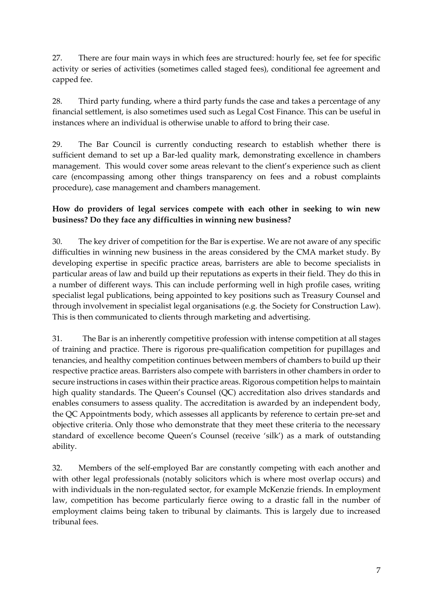27. There are four main ways in which fees are structured: hourly fee, set fee for specific activity or series of activities (sometimes called staged fees), conditional fee agreement and capped fee.

28. Third party funding, where a third party funds the case and takes a percentage of any financial settlement, is also sometimes used such as Legal Cost Finance. This can be useful in instances where an individual is otherwise unable to afford to bring their case.

29. The Bar Council is currently conducting research to establish whether there is sufficient demand to set up a Bar-led quality mark, demonstrating excellence in chambers management. This would cover some areas relevant to the client's experience such as client care (encompassing among other things transparency on fees and a robust complaints procedure), case management and chambers management.

### **How do providers of legal services compete with each other in seeking to win new business? Do they face any difficulties in winning new business?**

30. The key driver of competition for the Bar is expertise. We are not aware of any specific difficulties in winning new business in the areas considered by the CMA market study. By developing expertise in specific practice areas, barristers are able to become specialists in particular areas of law and build up their reputations as experts in their field. They do this in a number of different ways. This can include performing well in high profile cases, writing specialist legal publications, being appointed to key positions such as Treasury Counsel and through involvement in specialist legal organisations (e.g. the Society for Construction Law). This is then communicated to clients through marketing and advertising.

31. The Bar is an inherently competitive profession with intense competition at all stages of training and practice. There is rigorous pre-qualification competition for pupillages and tenancies, and healthy competition continues between members of chambers to build up their respective practice areas. Barristers also compete with barristers in other chambers in order to secure instructions in cases within their practice areas. Rigorous competition helps to maintain high quality standards. The Queen's Counsel (QC) accreditation also drives standards and enables consumers to assess quality. The accreditation is awarded by an independent body, the QC Appointments body, which assesses all applicants by reference to certain pre-set and objective criteria. Only those who demonstrate that they meet these criteria to the necessary standard of excellence become Queen's Counsel (receive 'silk') as a mark of outstanding ability.

32. Members of the self-employed Bar are constantly competing with each another and with other legal professionals (notably solicitors which is where most overlap occurs) and with individuals in the non-regulated sector, for example McKenzie friends. In employment law, competition has become particularly fierce owing to a drastic fall in the number of employment claims being taken to tribunal by claimants. This is largely due to increased tribunal fees.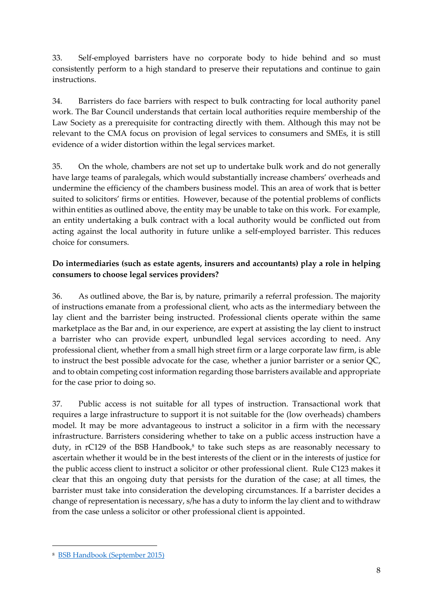33. Self-employed barristers have no corporate body to hide behind and so must consistently perform to a high standard to preserve their reputations and continue to gain instructions.

34. Barristers do face barriers with respect to bulk contracting for local authority panel work. The Bar Council understands that certain local authorities require membership of the Law Society as a prerequisite for contracting directly with them. Although this may not be relevant to the CMA focus on provision of legal services to consumers and SMEs, it is still evidence of a wider distortion within the legal services market.

35. On the whole, chambers are not set up to undertake bulk work and do not generally have large teams of paralegals, which would substantially increase chambers' overheads and undermine the efficiency of the chambers business model. This an area of work that is better suited to solicitors' firms or entities. However, because of the potential problems of conflicts within entities as outlined above, the entity may be unable to take on this work. For example, an entity undertaking a bulk contract with a local authority would be conflicted out from acting against the local authority in future unlike a self-employed barrister. This reduces choice for consumers.

## **Do intermediaries (such as estate agents, insurers and accountants) play a role in helping consumers to choose legal services providers?**

36. As outlined above, the Bar is, by nature, primarily a referral profession. The majority of instructions emanate from a professional client, who acts as the intermediary between the lay client and the barrister being instructed. Professional clients operate within the same marketplace as the Bar and, in our experience, are expert at assisting the lay client to instruct a barrister who can provide expert, unbundled legal services according to need. Any professional client, whether from a small high street firm or a large corporate law firm, is able to instruct the best possible advocate for the case, whether a junior barrister or a senior QC, and to obtain competing cost information regarding those barristers available and appropriate for the case prior to doing so.

37. Public access is not suitable for all types of instruction. Transactional work that requires a large infrastructure to support it is not suitable for the (low overheads) chambers model. It may be more advantageous to instruct a solicitor in a firm with the necessary infrastructure. Barristers considering whether to take on a public access instruction have a duty, in rC129 of the BSB Handbook, 8 to take such steps as are reasonably necessary to ascertain whether it would be in the best interests of the client or in the interests of justice for the public access client to instruct a solicitor or other professional client. Rule C123 makes it clear that this an ongoing duty that persists for the duration of the case; at all times, the barrister must take into consideration the developing circumstances. If a barrister decides a change of representation is necessary, s/he has a duty to inform the lay client and to withdraw from the case unless a solicitor or other professional client is appointed.

-

<sup>8</sup> [BSB Handbook \(September 2015\)](https://www.barstandardsboard.org.uk/media/1663630/bsb_handbook_sept_2015.pdf)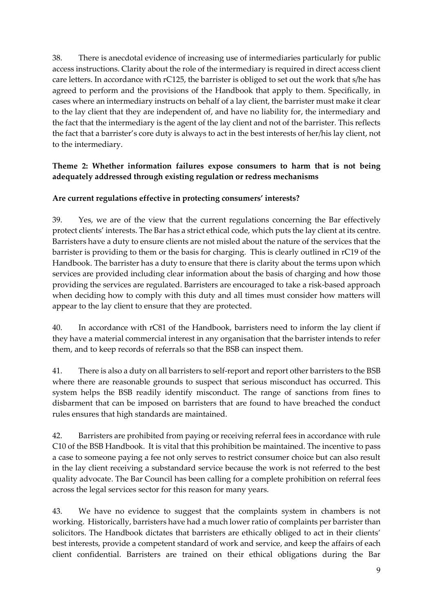38. There is anecdotal evidence of increasing use of intermediaries particularly for public access instructions. Clarity about the role of the intermediary is required in direct access client care letters. In accordance with rC125, the barrister is obliged to set out the work that s/he has agreed to perform and the provisions of the Handbook that apply to them. Specifically, in cases where an intermediary instructs on behalf of a lay client, the barrister must make it clear to the lay client that they are independent of, and have no liability for, the intermediary and the fact that the intermediary is the agent of the lay client and not of the barrister. This reflects the fact that a barrister's core duty is always to act in the best interests of her/his lay client, not to the intermediary.

### **Theme 2: Whether information failures expose consumers to harm that is not being adequately addressed through existing regulation or redress mechanisms**

### **Are current regulations effective in protecting consumers' interests?**

39. Yes, we are of the view that the current regulations concerning the Bar effectively protect clients' interests. The Bar has a strict ethical code, which puts the lay client at its centre. Barristers have a duty to ensure clients are not misled about the nature of the services that the barrister is providing to them or the basis for charging. This is clearly outlined in rC19 of the Handbook. The barrister has a duty to ensure that there is clarity about the terms upon which services are provided including clear information about the basis of charging and how those providing the services are regulated. Barristers are encouraged to take a risk-based approach when deciding how to comply with this duty and all times must consider how matters will appear to the lay client to ensure that they are protected.

40. In accordance with rC81 of the Handbook, barristers need to inform the lay client if they have a material commercial interest in any organisation that the barrister intends to refer them, and to keep records of referrals so that the BSB can inspect them.

41. There is also a duty on all barristers to self-report and report other barristers to the BSB where there are reasonable grounds to suspect that serious misconduct has occurred. This system helps the BSB readily identify misconduct. The range of sanctions from fines to disbarment that can be imposed on barristers that are found to have breached the conduct rules ensures that high standards are maintained.

42. Barristers are prohibited from paying or receiving referral fees in accordance with rule C10 of the BSB Handbook. It is vital that this prohibition be maintained. The incentive to pass a case to someone paying a fee not only serves to restrict consumer choice but can also result in the lay client receiving a substandard service because the work is not referred to the best quality advocate. The Bar Council has been calling for a complete prohibition on referral fees across the legal services sector for this reason for many years.

43. We have no evidence to suggest that the complaints system in chambers is not working. Historically, barristers have had a much lower ratio of complaints per barrister than solicitors. The Handbook dictates that barristers are ethically obliged to act in their clients' best interests, provide a competent standard of work and service, and keep the affairs of each client confidential. Barristers are trained on their ethical obligations during the Bar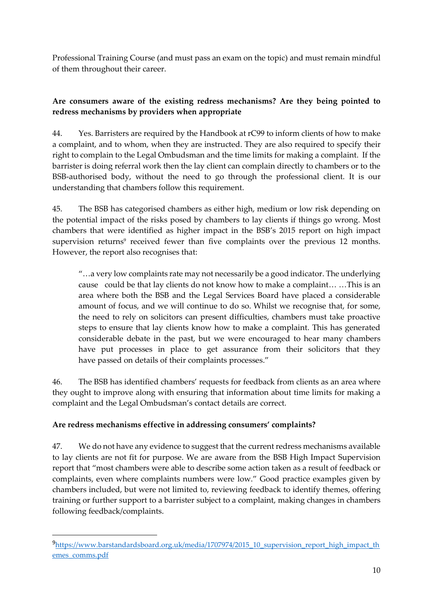Professional Training Course (and must pass an exam on the topic) and must remain mindful of them throughout their career.

## **Are consumers aware of the existing redress mechanisms? Are they being pointed to redress mechanisms by providers when appropriate**

44. Yes. Barristers are required by the Handbook at rC99 to inform clients of how to make a complaint, and to whom, when they are instructed. They are also required to specify their right to complain to the Legal Ombudsman and the time limits for making a complaint. If the barrister is doing referral work then the lay client can complain directly to chambers or to the BSB-authorised body, without the need to go through the professional client. It is our understanding that chambers follow this requirement.

45. The BSB has categorised chambers as either high, medium or low risk depending on the potential impact of the risks posed by chambers to lay clients if things go wrong. Most chambers that were identified as higher impact in the BSB's 2015 report on high impact supervision returns<sup>9</sup> received fewer than five complaints over the previous 12 months. However, the report also recognises that:

"…a very low complaints rate may not necessarily be a good indicator. The underlying cause could be that lay clients do not know how to make a complaint… …This is an area where both the BSB and the Legal Services Board have placed a considerable amount of focus, and we will continue to do so. Whilst we recognise that, for some, the need to rely on solicitors can present difficulties, chambers must take proactive steps to ensure that lay clients know how to make a complaint. This has generated considerable debate in the past, but we were encouraged to hear many chambers have put processes in place to get assurance from their solicitors that they have passed on details of their complaints processes."

46. The BSB has identified chambers' requests for feedback from clients as an area where they ought to improve along with ensuring that information about time limits for making a complaint and the Legal Ombudsman's contact details are correct.

# **Are redress mechanisms effective in addressing consumers' complaints?**

-

47. We do not have any evidence to suggest that the current redress mechanisms available to lay clients are not fit for purpose. We are aware from the BSB High Impact Supervision report that "most chambers were able to describe some action taken as a result of feedback or complaints, even where complaints numbers were low." Good practice examples given by chambers included, but were not limited to, reviewing feedback to identify themes, offering training or further support to a barrister subject to a complaint, making changes in chambers following feedback/complaints.

<sup>9</sup>[https://www.barstandardsboard.org.uk/media/1707974/2015\\_10\\_supervision\\_report\\_high\\_impact\\_th](https://www.barstandardsboard.org.uk/media/1707974/2015_10_supervision_report_high_impact_themes_comms.pdf) [emes\\_comms.pdf](https://www.barstandardsboard.org.uk/media/1707974/2015_10_supervision_report_high_impact_themes_comms.pdf)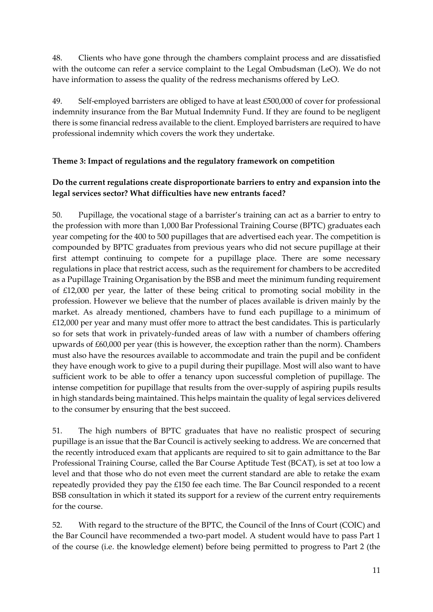48. Clients who have gone through the chambers complaint process and are dissatisfied with the outcome can refer a service complaint to the Legal Ombudsman (LeO). We do not have information to assess the quality of the redress mechanisms offered by LeO.

49. Self-employed barristers are obliged to have at least £500,000 of cover for professional indemnity insurance from the Bar Mutual Indemnity Fund. If they are found to be negligent there is some financial redress available to the client. Employed barristers are required to have professional indemnity which covers the work they undertake.

### **Theme 3: Impact of regulations and the regulatory framework on competition**

# **Do the current regulations create disproportionate barriers to entry and expansion into the legal services sector? What difficulties have new entrants faced?**

50. Pupillage, the vocational stage of a barrister's training can act as a barrier to entry to the profession with more than 1,000 Bar Professional Training Course (BPTC) graduates each year competing for the 400 to 500 pupillages that are advertised each year. The competition is compounded by BPTC graduates from previous years who did not secure pupillage at their first attempt continuing to compete for a pupillage place. There are some necessary regulations in place that restrict access, such as the requirement for chambers to be accredited as a Pupillage Training Organisation by the BSB and meet the minimum funding requirement of £12,000 per year, the latter of these being critical to promoting social mobility in the profession. However we believe that the number of places available is driven mainly by the market. As already mentioned, chambers have to fund each pupillage to a minimum of £12,000 per year and many must offer more to attract the best candidates. This is particularly so for sets that work in privately-funded areas of law with a number of chambers offering upwards of £60,000 per year (this is however, the exception rather than the norm). Chambers must also have the resources available to accommodate and train the pupil and be confident they have enough work to give to a pupil during their pupillage. Most will also want to have sufficient work to be able to offer a tenancy upon successful completion of pupillage. The intense competition for pupillage that results from the over-supply of aspiring pupils results in high standards being maintained. This helps maintain the quality of legal services delivered to the consumer by ensuring that the best succeed.

51. The high numbers of BPTC graduates that have no realistic prospect of securing pupillage is an issue that the Bar Council is actively seeking to address. We are concerned that the recently introduced exam that applicants are required to sit to gain admittance to the Bar Professional Training Course, called the Bar Course Aptitude Test (BCAT), is set at too low a level and that those who do not even meet the current standard are able to retake the exam repeatedly provided they pay the £150 fee each time. The Bar Council responded to a recent BSB consultation in which it stated its support for a review of the current entry requirements for the course.

52. With regard to the structure of the BPTC, the Council of the Inns of Court (COIC) and the Bar Council have recommended a two-part model. A student would have to pass Part 1 of the course (i.e. the knowledge element) before being permitted to progress to Part 2 (the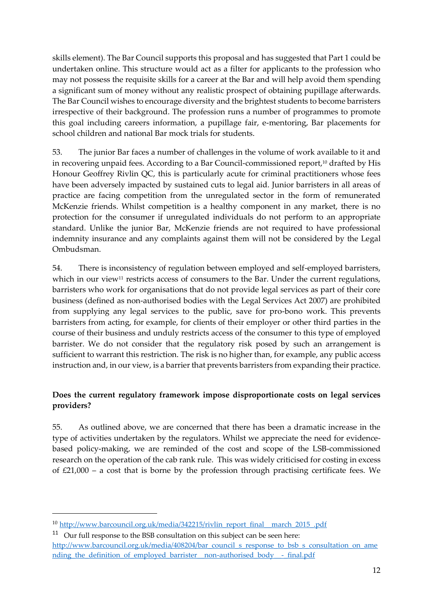skills element). The Bar Council supports this proposal and has suggested that Part 1 could be undertaken online. This structure would act as a filter for applicants to the profession who may not possess the requisite skills for a career at the Bar and will help avoid them spending a significant sum of money without any realistic prospect of obtaining pupillage afterwards. The Bar Council wishes to encourage diversity and the brightest students to become barristers irrespective of their background. The profession runs a number of programmes to promote this goal including careers information, a pupillage fair, e-mentoring, Bar placements for school children and national Bar mock trials for students.

53. The junior Bar faces a number of challenges in the volume of work available to it and in recovering unpaid fees. According to a Bar Council-commissioned report, <sup>10</sup> drafted by His Honour Geoffrey Rivlin QC, this is particularly acute for criminal practitioners whose fees have been adversely impacted by sustained cuts to legal aid. Junior barristers in all areas of practice are facing competition from the unregulated sector in the form of remunerated McKenzie friends. Whilst competition is a healthy component in any market, there is no protection for the consumer if unregulated individuals do not perform to an appropriate standard. Unlike the junior Bar, McKenzie friends are not required to have professional indemnity insurance and any complaints against them will not be considered by the Legal Ombudsman.

54. There is inconsistency of regulation between employed and self-employed barristers, which in our view<sup>11</sup> restricts access of consumers to the Bar. Under the current regulations, barristers who work for organisations that do not provide legal services as part of their core business (defined as non-authorised bodies with the Legal Services Act 2007) are prohibited from supplying any legal services to the public, save for pro-bono work. This prevents barristers from acting, for example, for clients of their employer or other third parties in the course of their business and unduly restricts access of the consumer to this type of employed barrister. We do not consider that the regulatory risk posed by such an arrangement is sufficient to warrant this restriction. The risk is no higher than, for example, any public access instruction and, in our view, is a barrier that prevents barristers from expanding their practice.

# **Does the current regulatory framework impose disproportionate costs on legal services providers?**

55. As outlined above, we are concerned that there has been a dramatic increase in the type of activities undertaken by the regulators. Whilst we appreciate the need for evidencebased policy-making, we are reminded of the cost and scope of the LSB-commissioned research on the operation of the cab rank rule. This was widely criticised for costing in excess of £21,000 – a cost that is borne by the profession through practising certificate fees. We

1

<sup>10</sup> [http://www.barcouncil.org.uk/media/342215/rivlin\\_report\\_final\\_\\_march\\_2015\\_.pdf](http://www.barcouncil.org.uk/media/342215/rivlin_report_final__march_2015_.pdf)

 $11$  Our full response to the BSB consultation on this subject can be seen here: [http://www.barcouncil.org.uk/media/408204/bar\\_council\\_s\\_response\\_to\\_bsb\\_s\\_consultation\\_on\\_ame](http://www.barcouncil.org.uk/media/408204/bar_council_s_response_to_bsb_s_consultation_on_amending_the_definition_of_employed_barrister__non-authorised_body__-_final.pdf) nding\_the\_definition\_of\_employed\_barrister\_non-authorised\_body\_ -\_final.pdf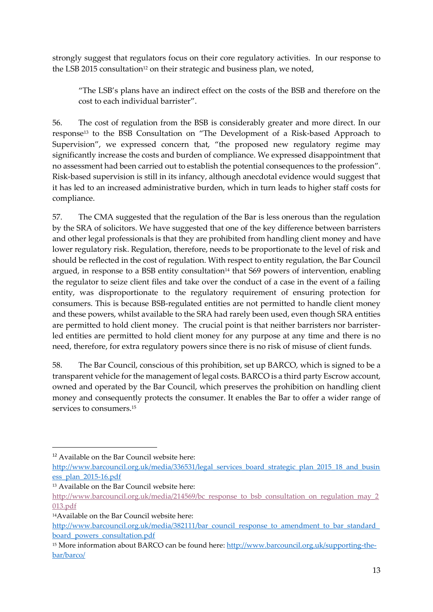strongly suggest that regulators focus on their core regulatory activities. In our response to the LSB 2015 consultation<sup>12</sup> on their strategic and business plan, we noted,

"The LSB's plans have an indirect effect on the costs of the BSB and therefore on the cost to each individual barrister".

56. The cost of regulation from the BSB is considerably greater and more direct. In our response<sup>13</sup> to the BSB Consultation on "The Development of a Risk-based Approach to Supervision", we expressed concern that, "the proposed new regulatory regime may significantly increase the costs and burden of compliance. We expressed disappointment that no assessment had been carried out to establish the potential consequences to the profession". Risk-based supervision is still in its infancy, although anecdotal evidence would suggest that it has led to an increased administrative burden, which in turn leads to higher staff costs for compliance.

57. The CMA suggested that the regulation of the Bar is less onerous than the regulation by the SRA of solicitors. We have suggested that one of the key difference between barristers and other legal professionals is that they are prohibited from handling client money and have lower regulatory risk. Regulation, therefore, needs to be proportionate to the level of risk and should be reflected in the cost of regulation. With respect to entity regulation, the Bar Council argued, in response to a BSB entity consultation<sup>14</sup> that S69 powers of intervention, enabling the regulator to seize client files and take over the conduct of a case in the event of a failing entity, was disproportionate to the regulatory requirement of ensuring protection for consumers. This is because BSB-regulated entities are not permitted to handle client money and these powers, whilst available to the SRA had rarely been used, even though SRA entities are permitted to hold client money. The crucial point is that neither barristers nor barristerled entities are permitted to hold client money for any purpose at any time and there is no need, therefore, for extra regulatory powers since there is no risk of misuse of client funds.

58. The Bar Council, conscious of this prohibition, set up BARCO, which is signed to be a transparent vehicle for the management of legal costs. BARCO is a third party Escrow account, owned and operated by the Bar Council, which preserves the prohibition on handling client money and consequently protects the consumer. It enables the Bar to offer a wider range of services to consumers. 15

1

<sup>&</sup>lt;sup>12</sup> Available on the Bar Council website here:

[http://www.barcouncil.org.uk/media/336531/legal\\_services\\_board\\_strategic\\_plan\\_2015\\_18\\_and\\_busin](http://www.barcouncil.org.uk/media/336531/legal_services_board_strategic_plan_2015_18_and_business_plan_2015-16.pdf) [ess\\_plan\\_2015-16.pdf](http://www.barcouncil.org.uk/media/336531/legal_services_board_strategic_plan_2015_18_and_business_plan_2015-16.pdf)

<sup>13</sup> Available on the Bar Council website here:

[http://www.barcouncil.org.uk/media/214569/bc\\_response\\_to\\_bsb\\_consultation\\_on\\_regulation\\_may\\_2](http://www.barcouncil.org.uk/media/214569/bc_response_to_bsb_consultation_on_regulation_may_2013.pdf) [013.pdf](http://www.barcouncil.org.uk/media/214569/bc_response_to_bsb_consultation_on_regulation_may_2013.pdf)

<sup>14</sup>Available on the Bar Council website here:

http://www.barcouncil.org.uk/media/382111/bar\_council\_response\_to\_amendment\_to\_bar\_standard [board\\_powers\\_consultation.pdf](http://www.barcouncil.org.uk/media/382111/bar_council_response_to_amendment_to_bar_standard_board_powers_consultation.pdf)

<sup>15</sup> More information about BARCO can be found here: [http://www.barcouncil.org.uk/supporting-the](http://www.barcouncil.org.uk/supporting-the-bar/barco/)[bar/barco/](http://www.barcouncil.org.uk/supporting-the-bar/barco/)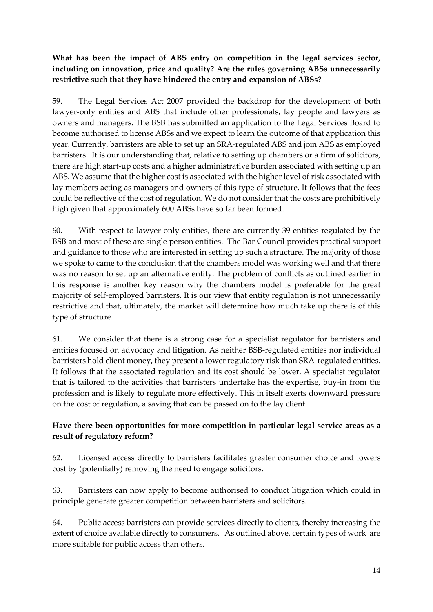# **What has been the impact of ABS entry on competition in the legal services sector, including on innovation, price and quality? Are the rules governing ABSs unnecessarily restrictive such that they have hindered the entry and expansion of ABSs?**

59. The Legal Services Act 2007 provided the backdrop for the development of both lawyer-only entities and ABS that include other professionals, lay people and lawyers as owners and managers. The BSB has submitted an application to the Legal Services Board to become authorised to license ABSs and we expect to learn the outcome of that application this year. Currently, barristers are able to set up an SRA-regulated ABS and join ABS as employed barristers. It is our understanding that, relative to setting up chambers or a firm of solicitors, there are high start-up costs and a higher administrative burden associated with setting up an ABS. We assume that the higher cost is associated with the higher level of risk associated with lay members acting as managers and owners of this type of structure. It follows that the fees could be reflective of the cost of regulation. We do not consider that the costs are prohibitively high given that approximately 600 ABSs have so far been formed.

60. With respect to lawyer-only entities, there are currently 39 entities regulated by the BSB and most of these are single person entities. The Bar Council provides practical support and guidance to those who are interested in setting up such a structure. The majority of those we spoke to came to the conclusion that the chambers model was working well and that there was no reason to set up an alternative entity. The problem of conflicts as outlined earlier in this response is another key reason why the chambers model is preferable for the great majority of self-employed barristers. It is our view that entity regulation is not unnecessarily restrictive and that, ultimately, the market will determine how much take up there is of this type of structure.

61. We consider that there is a strong case for a specialist regulator for barristers and entities focused on advocacy and litigation. As neither BSB-regulated entities nor individual barristers hold client money, they present a lower regulatory risk than SRA-regulated entities. It follows that the associated regulation and its cost should be lower. A specialist regulator that is tailored to the activities that barristers undertake has the expertise, buy-in from the profession and is likely to regulate more effectively. This in itself exerts downward pressure on the cost of regulation, a saving that can be passed on to the lay client.

# **Have there been opportunities for more competition in particular legal service areas as a result of regulatory reform?**

62. Licensed access directly to barristers facilitates greater consumer choice and lowers cost by (potentially) removing the need to engage solicitors.

63. Barristers can now apply to become authorised to conduct litigation which could in principle generate greater competition between barristers and solicitors.

64. Public access barristers can provide services directly to clients, thereby increasing the extent of choice available directly to consumers. As outlined above, certain types of work are more suitable for public access than others.